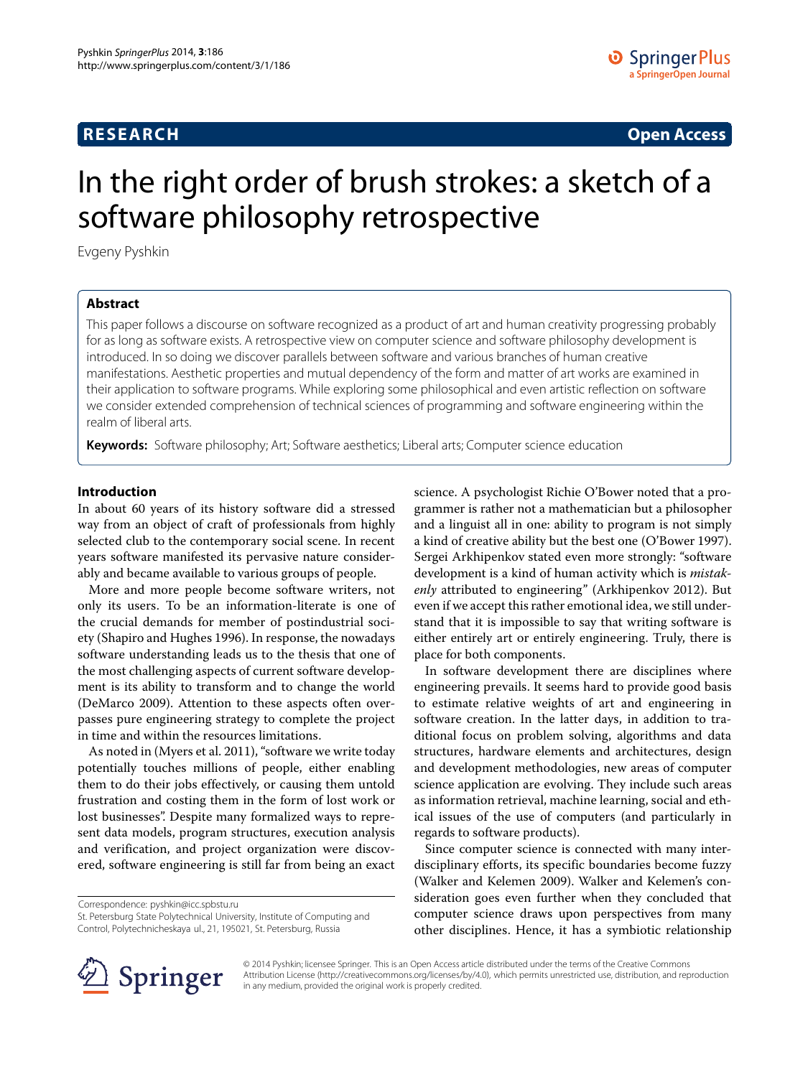# **RESEARCH Open Access**

# In the right order of brush strokes: a sketch of a software philosophy retrospective

Evgeny Pyshkin

## **Abstract**

This paper follows a discourse on software recognized as a product of art and human creativity progressing probably for as long as software exists. A retrospective view on computer science and software philosophy development is introduced. In so doing we discover parallels between software and various branches of human creative manifestations. Aesthetic properties and mutual dependency of the form and matter of art works are examined in their application to software programs. While exploring some philosophical and even artistic reflection on software we consider extended comprehension of technical sciences of programming and software engineering within the realm of liberal arts.

**Keywords:** Software philosophy; Art; Software aesthetics; Liberal arts; Computer science education

#### **Introduction**

In about 60 years of its history software did a stressed way from an object of craft of professionals from highly selected club to the contemporary social scene. In recent years software manifested its pervasive nature considerably and became available to various groups of people.

More and more people become software writers, not only its users. To be an information-literate is one of the crucial demands for member of postindustrial society (Shapiro and Hughes [1996\)](#page-5-0). In response, the nowadays software understanding leads us to the thesis that one of the most challenging aspects of current software development is its ability to transform and to change the world (DeMarco [2009\)](#page-5-1). Attention to these aspects often overpasses pure engineering strategy to complete the project in time and within the resources limitations.

As noted in (Myers et al. [2011\)](#page-5-2), "software we write today potentially touches millions of people, either enabling them to do their jobs effectively, or causing them untold frustration and costing them in the form of lost work or lost businesses". Despite many formalized ways to represent data models, program structures, execution analysis and verification, and project organization were discovered, software engineering is still far from being an exact

Correspondence: [pyshkin@icc.spbstu.ru](mailto: pyshkin@icc.spbstu.ru)

St. Petersburg State Polytechnical University, Institute of Computing and Control, Polytechnicheskaya ul., 21, 195021, St. Petersburg, Russia

science. A psychologist Richie O'Bower noted that a programmer is rather not a mathematician but a philosopher and a linguist all in one: ability to program is not simply a kind of creative ability but the best one (O'Bower [1997\)](#page-5-3). Sergei Arkhipenkov stated even more strongly: "software development is a kind of human activity which is *mistakenly* attributed to engineering" (Arkhipenkov [2012\)](#page-5-4). But even if we accept this rather emotional idea, we still understand that it is impossible to say that writing software is either entirely art or entirely engineering. Truly, there is place for both components.

In software development there are disciplines where engineering prevails. It seems hard to provide good basis to estimate relative weights of art and engineering in software creation. In the latter days, in addition to traditional focus on problem solving, algorithms and data structures, hardware elements and architectures, design and development methodologies, new areas of computer science application are evolving. They include such areas as information retrieval, machine learning, social and ethical issues of the use of computers (and particularly in regards to software products).

Since computer science is connected with many interdisciplinary efforts, its specific boundaries become fuzzy (Walker and Kelemen [2009\)](#page-5-5). Walker and Kelemen's consideration goes even further when they concluded that computer science draws upon perspectives from many other disciplines. Hence, it has a symbiotic relationship



© 2014 Pyshkin; licensee Springer. This is an Open Access article distributed under the terms of the Creative Commons Attribution License (http://creativecommons.org/licenses/by/4.0), which permits unrestricted use, distribution, and reproduction in any medium, provided the original work is properly credited.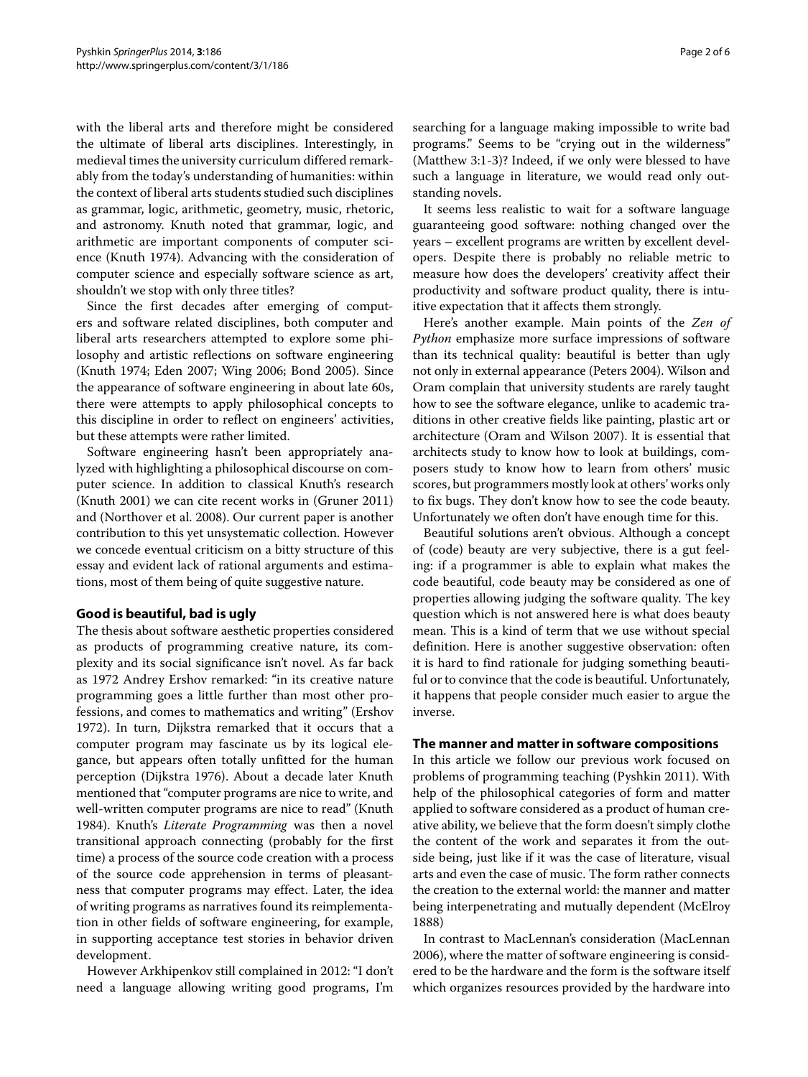with the liberal arts and therefore might be considered the ultimate of liberal arts disciplines. Interestingly, in medieval times the university curriculum differed remarkably from the today's understanding of humanities: within the context of liberal arts students studied such disciplines as grammar, logic, arithmetic, geometry, music, rhetoric, and astronomy. Knuth noted that grammar, logic, and arithmetic are important components of computer science (Knuth [1974\)](#page-5-6). Advancing with the consideration of computer science and especially software science as art, shouldn't we stop with only three titles?

Since the first decades after emerging of computers and software related disciplines, both computer and liberal arts researchers attempted to explore some philosophy and artistic reflections on software engineering (Knuth [1974;](#page-5-6) Eden [2007;](#page-5-7) Wing [2006;](#page-5-8) Bond [2005\)](#page-5-9). Since the appearance of software engineering in about late 60s, there were attempts to apply philosophical concepts to this discipline in order to reflect on engineers' activities, but these attempts were rather limited.

Software engineering hasn't been appropriately analyzed with highlighting a philosophical discourse on computer science. In addition to classical Knuth's research (Knuth [2001\)](#page-5-10) we can cite recent works in (Gruner [2011\)](#page-5-11) and (Northover et al. [2008\)](#page-5-12). Our current paper is another contribution to this yet unsystematic collection. However we concede eventual criticism on a bitty structure of this essay and evident lack of rational arguments and estimations, most of them being of quite suggestive nature.

#### **Good is beautiful, bad is ugly**

The thesis about software aesthetic properties considered as products of programming creative nature, its complexity and its social significance isn't novel. As far back as 1972 Andrey Ershov remarked: "in its creative nature programming goes a little further than most other professions, and comes to mathematics and writing" (Ershov [1972\)](#page-5-13). In turn, Dijkstra remarked that it occurs that a computer program may fascinate us by its logical elegance, but appears often totally unfitted for the human perception (Dijkstra [1976\)](#page-5-14). About a decade later Knuth mentioned that "computer programs are nice to write, and well-written computer programs are nice to read" (Knuth [1984\)](#page-5-15). Knuth's *Literate Programming* was then a novel transitional approach connecting (probably for the first time) a process of the source code creation with a process of the source code apprehension in terms of pleasantness that computer programs may effect. Later, the idea of writing programs as narratives found its reimplementation in other fields of software engineering, for example, in supporting acceptance test stories in behavior driven development.

However Arkhipenkov still complained in 2012: "I don't need a language allowing writing good programs, I'm

searching for a language making impossible to write bad programs." Seems to be "crying out in the wilderness" (Matthew 3:1-3)? Indeed, if we only were blessed to have such a language in literature, we would read only outstanding novels.

It seems less realistic to wait for a software language guaranteeing good software: nothing changed over the years – excellent programs are written by excellent developers. Despite there is probably no reliable metric to measure how does the developers' creativity affect their productivity and software product quality, there is intuitive expectation that it affects them strongly.

Here's another example. Main points of the *Zen of Python* emphasize more surface impressions of software than its technical quality: beautiful is better than ugly not only in external appearance (Peters [2004\)](#page-5-16). Wilson and Oram complain that university students are rarely taught how to see the software elegance, unlike to academic traditions in other creative fields like painting, plastic art or architecture (Oram and Wilson [2007\)](#page-5-17). It is essential that architects study to know how to look at buildings, composers study to know how to learn from others' music scores, but programmers mostly look at others' works only to fix bugs. They don't know how to see the code beauty. Unfortunately we often don't have enough time for this.

Beautiful solutions aren't obvious. Although a concept of (code) beauty are very subjective, there is a gut feeling: if a programmer is able to explain what makes the code beautiful, code beauty may be considered as one of properties allowing judging the software quality. The key question which is not answered here is what does beauty mean. This is a kind of term that we use without special definition. Here is another suggestive observation: often it is hard to find rationale for judging something beautiful or to convince that the code is beautiful. Unfortunately, it happens that people consider much easier to argue the inverse.

#### **The manner and matter in software compositions**

In this article we follow our previous work focused on problems of programming teaching (Pyshkin [2011\)](#page-5-18). With help of the philosophical categories of form and matter applied to software considered as a product of human creative ability, we believe that the form doesn't simply clothe the content of the work and separates it from the outside being, just like if it was the case of literature, visual arts and even the case of music. The form rather connects the creation to the external world: the manner and matter being interpenetrating and mutually dependent (McElroy [1888\)](#page-5-19)

In contrast to MacLennan's consideration (MacLennan [2006\)](#page-5-20), where the matter of software engineering is considered to be the hardware and the form is the software itself which organizes resources provided by the hardware into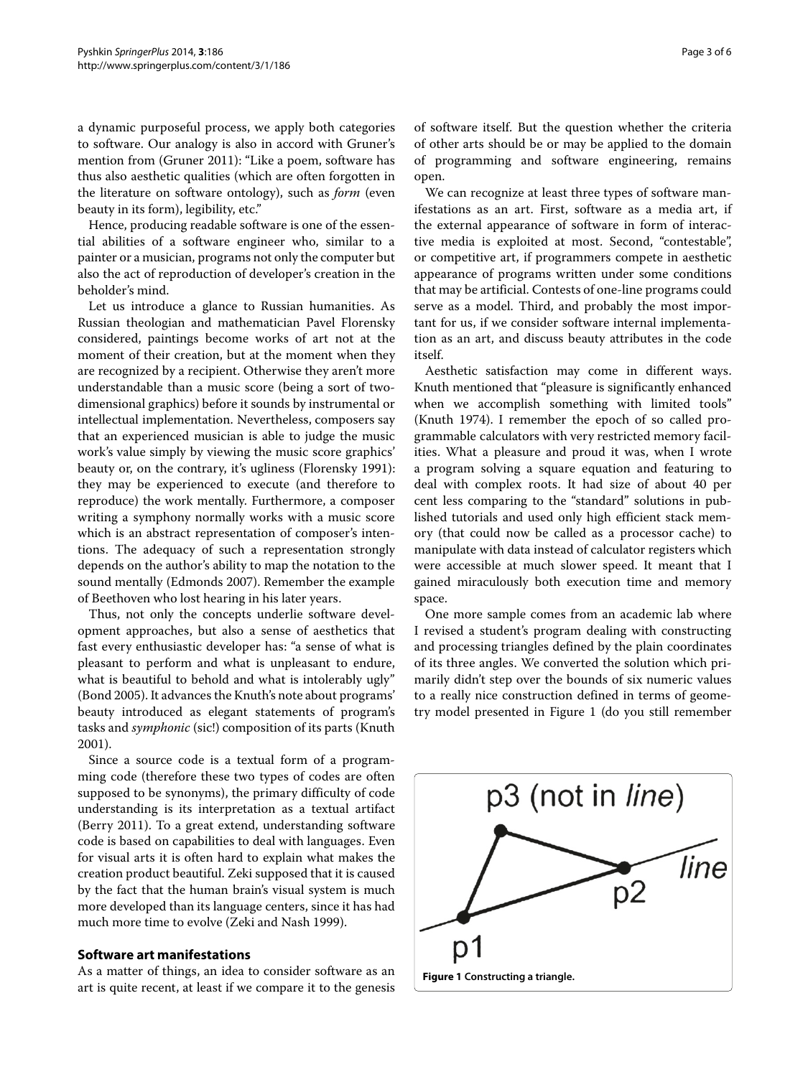a dynamic purposeful process, we apply both categories to software. Our analogy is also in accord with Gruner's mention from (Gruner [2011\)](#page-5-11): "Like a poem, software has thus also aesthetic qualities (which are often forgotten in the literature on software ontology), such as *form* (even beauty in its form), legibility, etc."

Hence, producing readable software is one of the essential abilities of a software engineer who, similar to a painter or a musician, programs not only the computer but also the act of reproduction of developer's creation in the beholder's mind.

Let us introduce a glance to Russian humanities. As Russian theologian and mathematician Pavel Florensky considered, paintings become works of art not at the moment of their creation, but at the moment when they are recognized by a recipient. Otherwise they aren't more understandable than a music score (being a sort of twodimensional graphics) before it sounds by instrumental or intellectual implementation. Nevertheless, composers say that an experienced musician is able to judge the music work's value simply by viewing the music score graphics' beauty or, on the contrary, it's ugliness (Florensky [1991\)](#page-5-21): they may be experienced to execute (and therefore to reproduce) the work mentally. Furthermore, a composer writing a symphony normally works with a music score which is an abstract representation of composer's intentions. The adequacy of such a representation strongly depends on the author's ability to map the notation to the sound mentally (Edmonds [2007\)](#page-5-22). Remember the example of Beethoven who lost hearing in his later years.

Thus, not only the concepts underlie software development approaches, but also a sense of aesthetics that fast every enthusiastic developer has: "a sense of what is pleasant to perform and what is unpleasant to endure, what is beautiful to behold and what is intolerably ugly" (Bond [2005\)](#page-5-9). It advances the Knuth's note about programs' beauty introduced as elegant statements of program's tasks and *symphonic* (sic!) composition of its parts (Knuth [2001\)](#page-5-10).

Since a source code is a textual form of a programming code (therefore these two types of codes are often supposed to be synonyms), the primary difficulty of code understanding is its interpretation as a textual artifact (Berry [2011\)](#page-5-23). To a great extend, understanding software code is based on capabilities to deal with languages. Even for visual arts it is often hard to explain what makes the creation product beautiful. Zeki supposed that it is caused by the fact that the human brain's visual system is much more developed than its language centers, since it has had much more time to evolve (Zeki and Nash [1999\)](#page-5-24).

#### **Software art manifestations**

As a matter of things, an idea to consider software as an art is quite recent, at least if we compare it to the genesis

of software itself. But the question whether the criteria of other arts should be or may be applied to the domain of programming and software engineering, remains open.

We can recognize at least three types of software manifestations as an art. First, software as a media art, if the external appearance of software in form of interactive media is exploited at most. Second, "contestable", or competitive art, if programmers compete in aesthetic appearance of programs written under some conditions that may be artificial. Contests of one-line programs could serve as a model. Third, and probably the most important for us, if we consider software internal implementation as an art, and discuss beauty attributes in the code itself.

Aesthetic satisfaction may come in different ways. Knuth mentioned that "pleasure is significantly enhanced when we accomplish something with limited tools" (Knuth [1974\)](#page-5-6). I remember the epoch of so called programmable calculators with very restricted memory facilities. What a pleasure and proud it was, when I wrote a program solving a square equation and featuring to deal with complex roots. It had size of about 40 per cent less comparing to the "standard" solutions in published tutorials and used only high efficient stack memory (that could now be called as a processor cache) to manipulate with data instead of calculator registers which were accessible at much slower speed. It meant that I gained miraculously both execution time and memory space.

One more sample comes from an academic lab where I revised a student's program dealing with constructing and processing triangles defined by the plain coordinates of its three angles. We converted the solution which primarily didn't step over the bounds of six numeric values to a really nice construction defined in terms of geometry model presented in Figure [1](#page-2-0) (do you still remember

<span id="page-2-0"></span>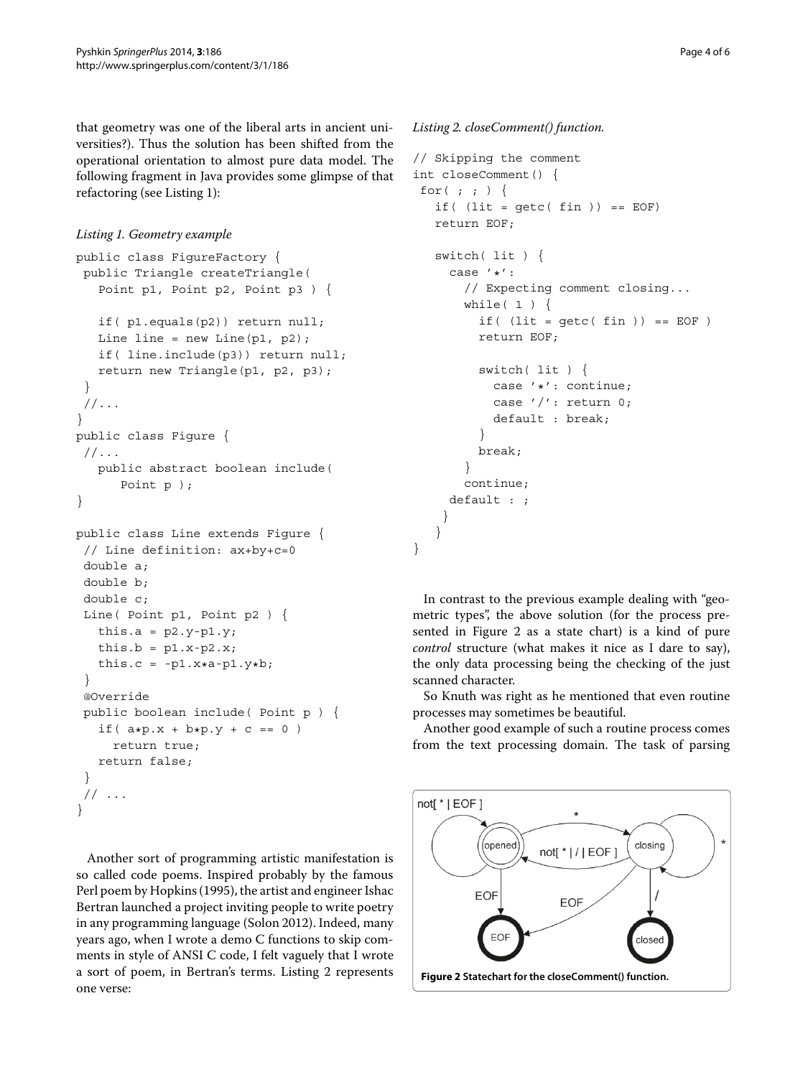that geometry was one of the liberal arts in ancient universities?). Thus the solution has been shifted from the operational orientation to almost pure data model. The following fragment in Java provides some glimpse of that refactoring (see Listing 1):

## *Listing 1. Geometry example*

```
public class FigureFactory {
 public Triangle createTriangle(
   Point p1, Point p2, Point p3 ) {
   if( p1.equals(p2)) return null;
   Line line = new Line(p1, p2);
   if( line.include(p3)) return null;
   return new Triangle(p1, p2, p3);
 }
 1/\ldots}
public class Figure {
 //\ldotspublic abstract boolean include(
      Point p );
}
public class Line extends Figure {
 // Line definition: ax+by+c=0
 double a;
 double b;
 double c;
 Line( Point p1, Point p2 ) {
   this.a = p2.y-p1.y;
   this.b = p1.x-p2.x;this.c = -p1.x*a-p1.y*b;}
 @Override
 public boolean include( Point p ) {
   if(a*p.x + b*p.y + c == 0)
     return true;
  return false;
 }
// ...
```
Another sort of programming artistic manifestation is so called code poems. Inspired probably by the famous Perl poem by Hopkins [\(1995\)](#page-5-25), the artist and engineer Ishac Bertran launched a project inviting people to write poetry in any programming language (Solon [2012\)](#page-5-26). Indeed, many years ago, when I wrote a demo C functions to skip comments in style of ANSI C code, I felt vaguely that I wrote a sort of poem, in Bertran's terms. Listing 2 represents one verse:

}

#### *Listing 2. closeComment() function.*

```
// Skipping the comment
int closeComment() {
 for( ; ; ) \{if( (lit = getc(fin)) == EOF)
   return EOF;
  switch( lit ) {
     case '*':
       // Expecting comment closing...
       while(1) {
         if( (lit = getc(fin)) == EOF)
         return EOF;
         switch( lit ) {
           case '*': continue;
           case '/': return 0;
           default : break;
         }
         break;
       }
       continue;
     default : ;
    }
   }
}
```
In contrast to the previous example dealing with "geometric types", the above solution (for the process presented in Figure [2](#page-3-0) as a state chart) is a kind of pure *control* structure (what makes it nice as I dare to say), the only data processing being the checking of the just scanned character.

So Knuth was right as he mentioned that even routine processes may sometimes be beautiful.

Another good example of such a routine process comes from the text processing domain. The task of parsing

<span id="page-3-0"></span>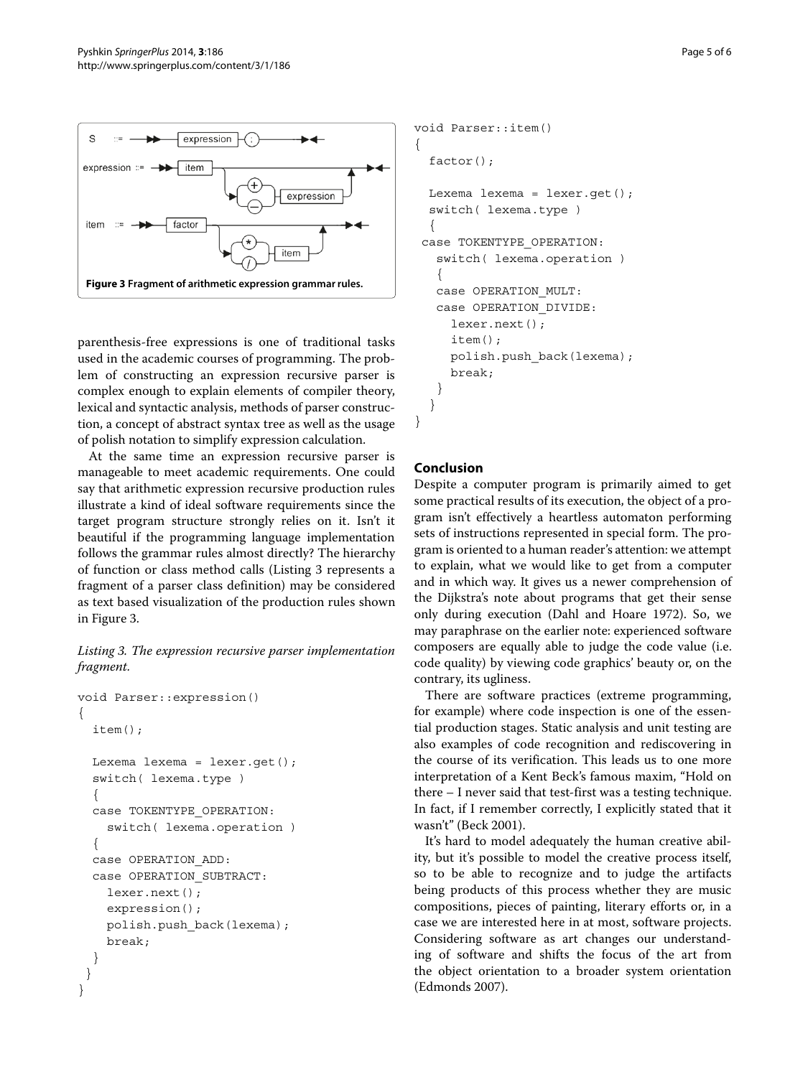

<span id="page-4-0"></span>parenthesis-free expressions is one of traditional tasks used in the academic courses of programming. The problem of constructing an expression recursive parser is complex enough to explain elements of compiler theory, lexical and syntactic analysis, methods of parser construction, a concept of abstract syntax tree as well as the usage of polish notation to simplify expression calculation.

At the same time an expression recursive parser is manageable to meet academic requirements. One could say that arithmetic expression recursive production rules illustrate a kind of ideal software requirements since the target program structure strongly relies on it. Isn't it beautiful if the programming language implementation follows the grammar rules almost directly? The hierarchy of function or class method calls (Listing 3 represents a fragment of a parser class definition) may be considered as text based visualization of the production rules shown in Figure [3.](#page-4-0)

## *Listing 3. The expression recursive parser implementation fragment.*

```
void Parser::expression()
{
  item();
  Lexema lexema = lexer.get();
  switch( lexema.type )
  {
  case TOKENTYPE_OPERATION:
    switch( lexema.operation )
  {
  case OPERATION_ADD:
  case OPERATION_SUBTRACT:
    lexer.next();
    expression();
    polish.push_back(lexema);
    break;
  }
 }
}
```

```
void Parser::item()
\left\{ \right.factor();
  Lexema lexema = lexer.get();
  switch( lexema.type )
  {
 case TOKENTYPE_OPERATION:
   switch( lexema.operation )
   {
   case OPERATION_MULT:
   case OPERATION_DIVIDE:
     lexer.next();
     item();
     polish.push_back(lexema);
     break;
   }
  }
}
```
# **Conclusion**

Despite a computer program is primarily aimed to get some practical results of its execution, the object of a program isn't effectively a heartless automaton performing sets of instructions represented in special form. The program is oriented to a human reader's attention: we attempt to explain, what we would like to get from a computer and in which way. It gives us a newer comprehension of the Dijkstra's note about programs that get their sense only during execution (Dahl and Hoare [1972\)](#page-5-27). So, we may paraphrase on the earlier note: experienced software composers are equally able to judge the code value (i.e. code quality) by viewing code graphics' beauty or, on the contrary, its ugliness.

There are software practices (extreme programming, for example) where code inspection is one of the essential production stages. Static analysis and unit testing are also examples of code recognition and rediscovering in the course of its verification. This leads us to one more interpretation of a Kent Beck's famous maxim, "Hold on there – I never said that test-first was a testing technique. In fact, if I remember correctly, I explicitly stated that it wasn't" (Beck [2001\)](#page-5-28).

It's hard to model adequately the human creative ability, but it's possible to model the creative process itself, so to be able to recognize and to judge the artifacts being products of this process whether they are music compositions, pieces of painting, literary efforts or, in a case we are interested here in at most, software projects. Considering software as art changes our understanding of software and shifts the focus of the art from the object orientation to a broader system orientation (Edmonds [2007\)](#page-5-22).